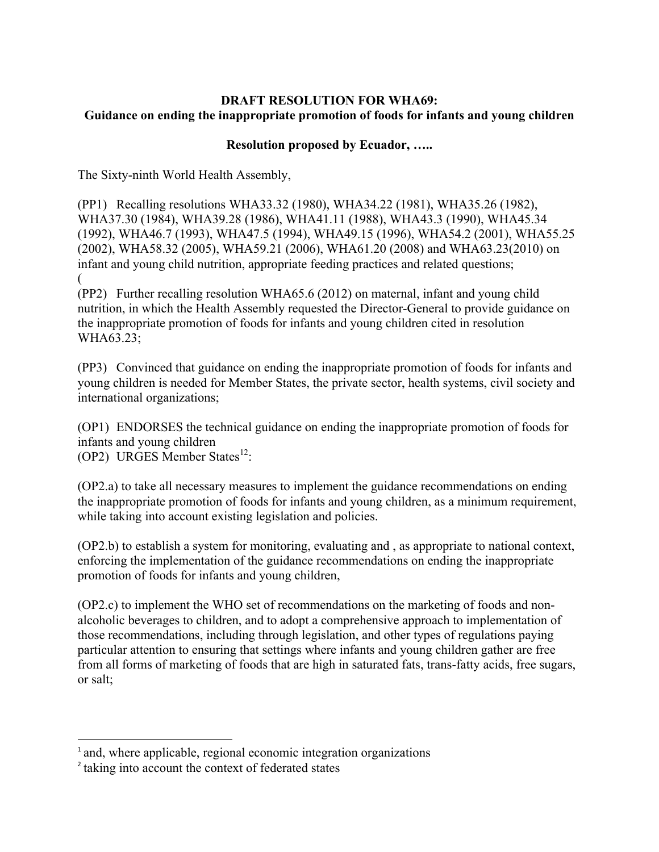## **DRAFT RESOLUTION FOR WHA69: Guidance on ending the inappropriate promotion of foods for infants and young children**

## **Resolution proposed by Ecuador, …..**

The Sixty-ninth World Health Assembly,

(PP1) Recalling resolutions WHA33.32 (1980), WHA34.22 (1981), WHA35.26 (1982), WHA37.30 (1984), WHA39.28 (1986), WHA41.11 (1988), WHA43.3 (1990), WHA45.34 (1992), WHA46.7 (1993), WHA47.5 (1994), WHA49.15 (1996), WHA54.2 (2001), WHA55.25 (2002), WHA58.32 (2005), WHA59.21 (2006), WHA61.20 (2008) and WHA63.23(2010) on infant and young child nutrition, appropriate feeding practices and related questions; (

(PP2) Further recalling resolution WHA65.6 (2012) on maternal, infant and young child nutrition, in which the Health Assembly requested the Director-General to provide guidance on the inappropriate promotion of foods for infants and young children cited in resolution WHA63.23;

(PP3) Convinced that guidance on ending the inappropriate promotion of foods for infants and young children is needed for Member States, the private sector, health systems, civil society and international organizations;

(OP1) ENDORSES the technical guidance on ending the inappropriate promotion of foods for infants and young children (OP2) URGES Member States $^{12}$ :

(OP2.a) to take all necessary measures to implement the guidance recommendations on ending the inappropriate promotion of foods for infants and young children, as a minimum requirement, while taking into account existing legislation and policies.

(OP2.b) to establish a system for monitoring, evaluating and , as appropriate to national context, enforcing the implementation of the guidance recommendations on ending the inappropriate promotion of foods for infants and young children,

(OP2.c) to implement the WHO set of recommendations on the marketing of foods and nonalcoholic beverages to children, and to adopt a comprehensive approach to implementation of those recommendations, including through legislation, and other types of regulations paying particular attention to ensuring that settings where infants and young children gather are free from all forms of marketing of foods that are high in saturated fats, trans-fatty acids, free sugars, or salt;

<u> 1989 - Johann Stein, markin film yn y breninn y breninn y breninn y breninn y breninn y breninn y breninn y b</u>

<sup>&</sup>lt;sup>1</sup> and, where applicable, regional economic integration organizations

<sup>2</sup> taking into account the context of federated states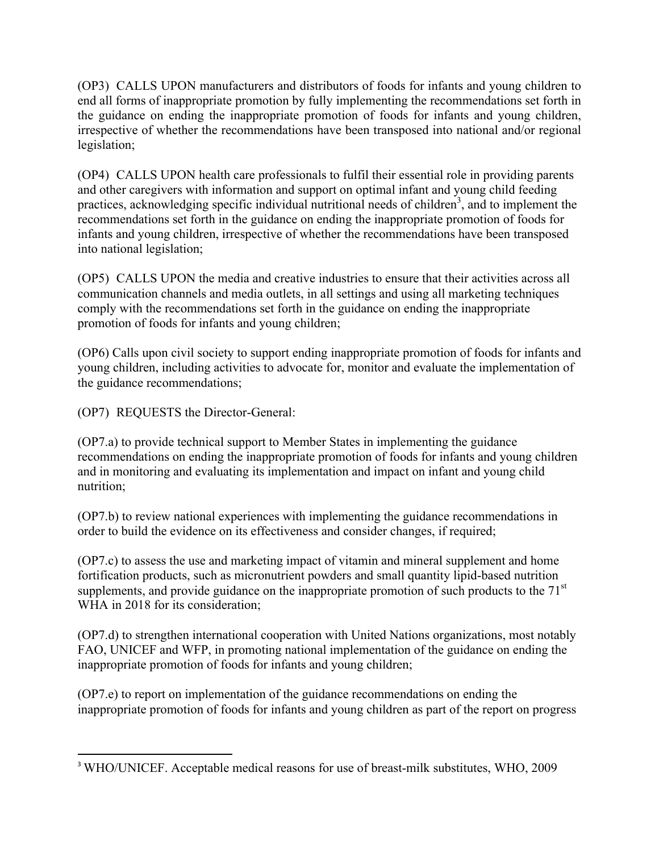(OP3) CALLS UPON manufacturers and distributors of foods for infants and young children to end all forms of inappropriate promotion by fully implementing the recommendations set forth in the guidance on ending the inappropriate promotion of foods for infants and young children, irrespective of whether the recommendations have been transposed into national and/or regional legislation;

(OP4) CALLS UPON health care professionals to fulfil their essential role in providing parents and other caregivers with information and support on optimal infant and young child feeding practices, acknowledging specific individual nutritional needs of children<sup>3</sup>, and to implement the recommendations set forth in the guidance on ending the inappropriate promotion of foods for infants and young children, irrespective of whether the recommendations have been transposed into national legislation;

(OP5) CALLS UPON the media and creative industries to ensure that their activities across all communication channels and media outlets, in all settings and using all marketing techniques comply with the recommendations set forth in the guidance on ending the inappropriate promotion of foods for infants and young children;

(OP6) Calls upon civil society to support ending inappropriate promotion of foods for infants and young children, including activities to advocate for, monitor and evaluate the implementation of the guidance recommendations;

(OP7) REQUESTS the Director-General:

<u> 1989 - Jan Stein Stein, fransk politiker (d. 1989)</u>

(OP7.a) to provide technical support to Member States in implementing the guidance recommendations on ending the inappropriate promotion of foods for infants and young children and in monitoring and evaluating its implementation and impact on infant and young child nutrition;

(OP7.b) to review national experiences with implementing the guidance recommendations in order to build the evidence on its effectiveness and consider changes, if required;

(OP7.c) to assess the use and marketing impact of vitamin and mineral supplement and home fortification products, such as micronutrient powders and small quantity lipid-based nutrition supplements, and provide guidance on the inappropriate promotion of such products to the  $71<sup>st</sup>$ WHA in 2018 for its consideration;

(OP7.d) to strengthen international cooperation with United Nations organizations, most notably FAO, UNICEF and WFP, in promoting national implementation of the guidance on ending the inappropriate promotion of foods for infants and young children;

(OP7.e) to report on implementation of the guidance recommendations on ending the inappropriate promotion of foods for infants and young children as part of the report on progress

<sup>3</sup> WHO/UNICEF. Acceptable medical reasons for use of breast-milk substitutes, WHO, 2009